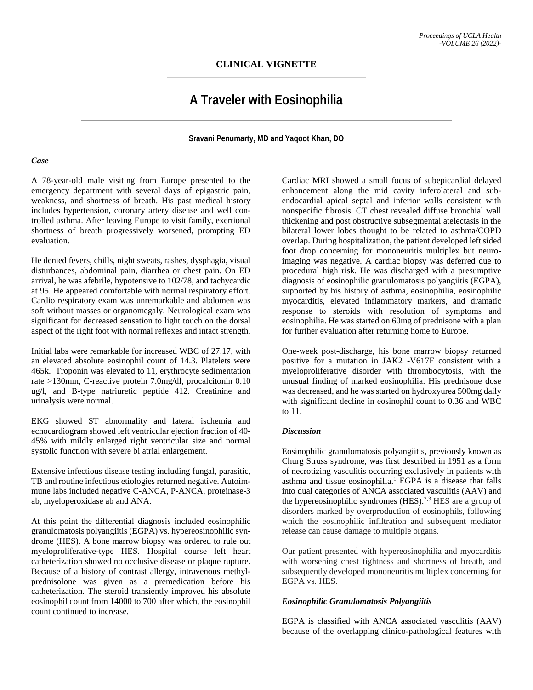# **CLINICAL VIGNETTE**

# **A Traveler with Eosinophilia**

### **Sravani Penumarty, MD and Yaqoot Khan, DO**

#### *Case*

A 78-year-old male visiting from Europe presented to the emergency department with several days of epigastric pain, weakness, and shortness of breath. His past medical history includes hypertension, coronary artery disease and well controlled asthma. After leaving Europe to visit family, exertional shortness of breath progressively worsened, prompting ED evaluation.

He denied fevers, chills, night sweats, rashes, dysphagia, visual disturbances, abdominal pain, diarrhea or chest pain. On ED arrival, he was afebrile, hypotensive to 102/78, and tachycardic at 95. He appeared comfortable with normal respiratory effort. Cardio respiratory exam was unremarkable and abdomen was soft without masses or organomegaly. Neurological exam was significant for decreased sensation to light touch on the dorsal aspect of the right foot with normal reflexes and intact strength.

Initial labs were remarkable for increased WBC of 27.17, with an elevated absolute eosinophil count of 14.3. Platelets were 465k. Troponin was elevated to 11, erythrocyte sedimentation rate >130mm, C-reactive protein 7.0mg/dl, procalcitonin 0.10 ug/l, and B-type natriuretic peptide 412. Creatinine and urinalysis were normal.

EKG showed ST abnormality and lateral ischemia and echocardiogram showed left ventricular ejection fraction of 40- 45% with mildly enlarged right ventricular size and normal systolic function with severe bi atrial enlargement.

Extensive infectious disease testing including fungal, parasitic, TB and routine infectious etiologies returned negative. Autoimmune labs included negative C-ANCA, P-ANCA, proteinase-3 ab, myeloperoxidase ab and ANA.

At this point the differential diagnosis included eosinophilic granulomatosis polyangiitis (EGPA) vs. hypereosinophilic syndrome (HES). A bone marrow biopsy was ordered to rule out myeloproliferative-type HES. Hospital course left heart catheterization showed no occlusive disease or plaque rupture. Because of a history of contrast allergy, intravenous methylprednisolone was given as a premedication before his catheterization. The steroid transiently improved his absolute eosinophil count from 14000 to 700 after which, the eosinophil count continued to increase.

Cardiac MRI showed a small focus of subepicardial delayed enhancement along the mid cavity inferolateral and subendocardial apical septal and inferior walls consistent with nonspecific fibrosis. CT chest revealed diffuse bronchial wall thickening and post obstructive subsegmental atelectasis in the bilateral lower lobes thought to be related to asthma/COPD overlap. During hospitalization, the patient developed left sided foot drop concerning for mononeuritis multiplex but neuroimaging was negative. A cardiac biopsy was deferred due to procedural high risk. He was discharged with a presumptive diagnosis of eosinophilic granulomatosis polyangiitis (EGPA), supported by his history of asthma, eosinophilia, eosinophilic myocarditis, elevated inflammatory markers, and dramatic response to steroids with resolution of symptoms and eosinophilia. He was started on 60mg of prednisone with a plan for further evaluation after returning home to Europe.

One-week post-discharge, his bone marrow biopsy returned positive for a mutation in JAK2 -V617F consistent with a myeloproliferative disorder with thrombocytosis, with the unusual finding of marked eosinophilia. His prednisone dose was decreased, and he was started on hydroxyurea 500mg daily with significant decline in eosinophil count to 0.36 and WBC to 11.

### *Discussion*

Eosinophilic granulomatosis polyangiitis, previously known as Churg Struss syndrome, was first described in 1951 as a form of necrotizing vasculitis occurring exclusively in patients with asthma and tissue eosinophilia.<sup>1</sup> EGPA is a disease that falls into dual categories of ANCA associated vasculitis (AAV) and the hypereosinophilic syndromes (HES).<sup>2,3</sup> HES are a group of disorders marked by overproduction of eosinophils, following which the eosinophilic infiltration and subsequent mediator release can cause damage to multiple organs.

Our patient presented with hypereosinophilia and myocarditis with worsening chest tightness and shortness of breath, and subsequently developed mononeuritis multiplex concerning for EGPA vs. HES.

### *Eosinophilic Granulomatosis Polyangiitis*

EGPA is classified with ANCA associated vasculitis (AAV) because of the overlapping clinico-pathological features with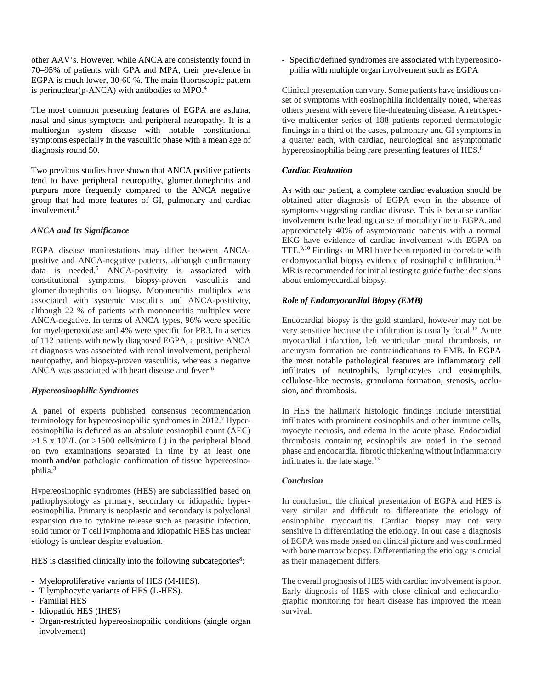other AAV's. However, while ANCA are consistently found in 70–95% of patients with GPA and MPA, their prevalence in EGPA is much lower, 30-60 %. The main fluoroscopic pattern is perinuclear( $p$ -ANCA) with antibodies to MPO.<sup>4</sup>

The most common presenting features of EGPA are asthma, nasal and sinus symptoms and peripheral neuropathy. It is a multiorgan system disease with notable constitutional symptoms especially in the vasculitic phase with a mean age of diagnosis round 50.

Two previous studies have shown that ANCA positive patients tend to have peripheral neuropathy, glomerulonephritis and purpura more frequently compared to the ANCA negative group that had more features of GI, pulmonary and cardiac involvement.<sup>5</sup>

## *ANCA and Its Significance*

EGPA disease manifestations may differ between ANCApositive and ANCA-negative patients, although confirmatory data is needed.5 ANCA-positivity is associated with constitutional symptoms, biopsy-proven vasculitis and glomerulonephritis on biopsy. Mononeuritis multiplex was associated with systemic vasculitis and ANCA-positivity, although 22 % of patients with mononeuritis multiplex were ANCA-negative. In terms of ANCA types, 96% were specific for myeloperoxidase and 4% were specific for PR3. In a series of 112 patients with newly diagnosed EGPA, a positive ANCA at diagnosis was associated with renal involvement, peripheral neuropathy, and biopsy-proven vasculitis, whereas a negative ANCA was associated with heart disease and fever.<sup>6</sup>

## *Hypereosinophilic Syndromes*

A panel of experts published consensus recommendation terminology for hypereosinophilic syndromes in 2012.7 Hypereosinophilia is defined as an absolute eosinophil count (AEC)  $>1.5$  x 10<sup>9</sup>/L (or  $>1500$  cells/micro L) in the peripheral blood on two examinations separated in time by at least one month **and/or** pathologic confirmation of tissue hypereosinophilia. 3

Hypereosinophic syndromes (HES) are subclassified based on pathophysiology as primary, secondary or idiopathic hypereosinophilia. Primary is neoplastic and secondary is polyclonal expansion due to cytokine release such as parasitic infection, solid tumor or T cell lymphoma and idiopathic HES has unclear etiology is unclear despite evaluation.

HES is classified clinically into the following subcategories<sup>8</sup>:

- Myeloproliferative variants of HES (M-HES).
- T lymphocytic variants of HES (L-HES).
- Familial HES
- Idiopathic HES (IHES)
- Organ-restricted hypereosinophilic conditions (single organ involvement)

- Specific/defined syndromes are associated with hypereosinophilia with multiple organ involvement such as EGPA

Clinical presentation can vary. Some patients have insidious onset of symptoms with eosinophilia incidentally noted, whereas others present with severe life-threatening disease. A retrospective multicenter series of 188 patients reported dermatologic findings in a third of the cases, pulmonary and GI symptoms in a quarter each, with cardiac, neurological and asymptomatic hypereosinophilia being rare presenting features of HES.<sup>8</sup>

# *Cardiac Evaluation*

As with our patient, a complete cardiac evaluation should be obtained after diagnosis of EGPA even in the absence of symptoms suggesting cardiac disease. This is because cardiac involvement is the leading cause of mortality due to EGPA, and approximately 40% of asymptomatic patients with a normal EKG have evidence of cardiac involvement with EGPA on TTE.9,10 Findings on MRI have been reported to correlate with endomyocardial biopsy evidence of eosinophilic infiltration.<sup>11</sup> MR is recommended for initial testing to guide further decisions about endomyocardial biopsy.

## *Role of Endomyocardial Biopsy (EMB)*

Endocardial biopsy is the gold standard, however may not be very sensitive because the infiltration is usually focal.12 Acute myocardial infarction, left ventricular mural thrombosis, or aneurysm formation are contraindications to EMB. In EGPA the most notable pathological features are inflammatory cell infiltrates of neutrophils, lymphocytes and eosinophils, cellulose-like necrosis, granuloma formation, stenosis, occlusion, and thrombosis.

In HES the hallmark histologic findings include interstitial infiltrates with prominent eosinophils and other immune cells, myocyte necrosis, and edema in the acute phase. Endocardial thrombosis containing eosinophils are noted in the second phase and endocardial fibrotic thickening without inflammatory infiltrates in the late stage. $13$ 

#### *Conclusion*

In conclusion, the clinical presentation of EGPA and HES is very similar and difficult to differentiate the etiology of eosinophilic myocarditis. Cardiac biopsy may not very sensitive in differentiating the etiology. In our case a diagnosis of EGPA was made based on clinical picture and was confirmed with bone marrow biopsy. Differentiating the etiology is crucial as their management differs.

The overall prognosis of HES with cardiac involvement is poor. Early diagnosis of HES with close clinical and echocardiographic monitoring for heart disease has improved the mean survival.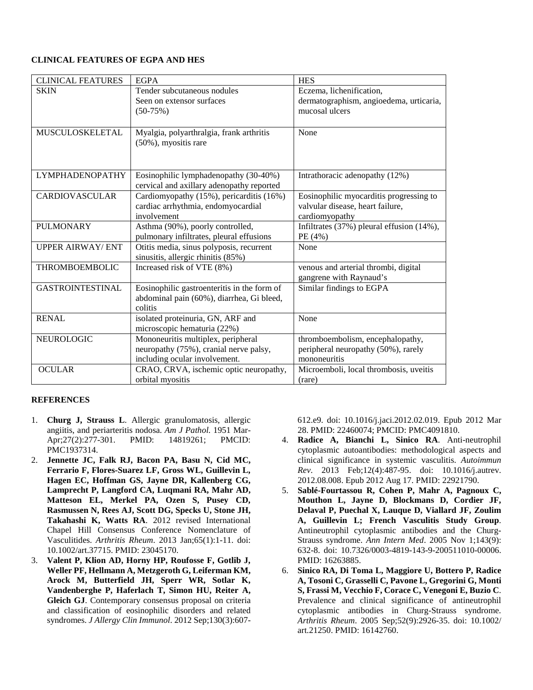# **CLINICAL FEATURES OF EGPA AND HES**

| <b>CLINICAL FEATURES</b> | <b>EGPA</b>                                 | <b>HES</b>                                |
|--------------------------|---------------------------------------------|-------------------------------------------|
| <b>SKIN</b>              | Tender subcutaneous nodules                 | Eczema, lichenification,                  |
|                          | Seen on extensor surfaces                   | dermatographism, angioedema, urticaria,   |
|                          | $(50-75%)$                                  | mucosal ulcers                            |
|                          |                                             |                                           |
| <b>MUSCULOSKELETAL</b>   | Myalgia, polyarthralgia, frank arthritis    | None                                      |
|                          | (50%), myositis rare                        |                                           |
|                          |                                             |                                           |
|                          |                                             |                                           |
| <b>LYMPHADENOPATHY</b>   | Eosinophilic lymphadenopathy (30-40%)       | Intrathoracic adenopathy (12%)            |
|                          | cervical and axillary adenopathy reported   |                                           |
| <b>CARDIOVASCULAR</b>    | Cardiomyopathy (15%), pericarditis (16%)    | Eosinophilic myocarditis progressing to   |
|                          | cardiac arrhythmia, endomyocardial          | valvular disease, heart failure,          |
|                          | involvement                                 | cardiomyopathy                            |
| <b>PULMONARY</b>         | Asthma (90%), poorly controlled,            | Infiltrates (37%) pleural effusion (14%), |
|                          | pulmonary infiltrates, pleural effusions    | PE (4%)                                   |
| <b>UPPER AIRWAY/ ENT</b> | Otitis media, sinus polyposis, recurrent    | None                                      |
|                          | sinusitis, allergic rhinitis (85%)          |                                           |
| <b>THROMBOEMBOLIC</b>    | Increased risk of VTE (8%)                  | venous and arterial thrombi, digital      |
|                          |                                             | gangrene with Raynaud's                   |
| <b>GASTROINTESTINAL</b>  | Eosinophilic gastroenteritis in the form of | Similar findings to EGPA                  |
|                          | abdominal pain (60%), diarrhea, Gi bleed,   |                                           |
|                          | colitis                                     |                                           |
| <b>RENAL</b>             | isolated proteinuria, GN, ARF and           | None                                      |
|                          | microscopic hematuria (22%)                 |                                           |
| NEUROLOGIC               | Mononeuritis multiplex, peripheral          | thromboembolism, encephalopathy,          |
|                          | neuropathy (75%), cranial nerve palsy,      | peripheral neuropathy (50%), rarely       |
|                          | including ocular involvement.               | mononeuritis                              |
| <b>OCULAR</b>            | CRAO, CRVA, ischemic optic neuropathy,      | Microemboli, local thrombosis, uveitis    |
|                          | orbital myositis                            | (rare)                                    |

## **REFERENCES**

- 1. **Churg J, Strauss L**. Allergic granulomatosis, allergic angiitis, and periarteritis nodosa. *Am J Pathol.* 1951 Mar-Apr;27(2):277-301. PMID: 14819261; PMCID: PMC1937314.
- 2. **Jennette JC, Falk RJ, Bacon PA, Basu N, Cid MC, Ferrario F, Flores-Suarez LF, Gross WL, Guillevin L, Hagen EC, Hoffman GS, Jayne DR, Kallenberg CG, Lamprecht P, Langford CA, Luqmani RA, Mahr AD, Matteson EL, Merkel PA, Ozen S, Pusey CD, Rasmussen N, Rees AJ, Scott DG, Specks U, Stone JH, Takahashi K, Watts RA**. 2012 revised International Chapel Hill Consensus Conference Nomenclature of Vasculitides. *Arthritis Rheum*. 2013 Jan;65(1):1-11. doi: 10.1002/art.37715. PMID: 23045170.
- 3. **Valent P, Klion AD, Horny HP, Roufosse F, Gotlib J, Weller PF, Hellmann A, Metzgeroth G, Leiferman KM, Arock M, Butterfield JH, Sperr WR, Sotlar K, Vandenberghe P, Haferlach T, Simon HU, Reiter A, Gleich GJ**. Contemporary consensus proposal on criteria and classification of eosinophilic disorders and related syndromes. *J Allergy Clin Immunol*. 2012 Sep;130(3):607-

612.e9. doi: 10.1016/j.jaci.2012.02.019. Epub 2012 Mar 28. PMID: 22460074; PMCID: PMC4091810.

- 4. **Radice A, Bianchi L, Sinico RA**. Anti-neutrophil cytoplasmic autoantibodies: methodological aspects and clinical significance in systemic vasculitis. *Autoimmun Rev*. 2013 Feb;12(4):487-95. doi: 10.1016/j.autrev. 2012.08.008. Epub 2012 Aug 17. PMID: 22921790.
- 5. **Sablé-Fourtassou R, Cohen P, Mahr A, Pagnoux C, Mouthon L, Jayne D, Blockmans D, Cordier JF, Delaval P, Puechal X, Lauque D, Viallard JF, Zoulim A, Guillevin L; French Vasculitis Study Group**. Antineutrophil cytoplasmic antibodies and the Churg-Strauss syndrome. *Ann Intern Med*. 2005 Nov 1;143(9): 632-8. doi: 10.7326/0003-4819-143-9-200511010-00006. PMID: 16263885.
- 6. **Sinico RA, Di Toma L, Maggiore U, Bottero P, Radice A, Tosoni C, Grasselli C, Pavone L, Gregorini G, Monti S, Frassi M, Vecchio F, Corace C, Venegoni E, Buzio C**. Prevalence and clinical significance of antineutrophil cytoplasmic antibodies in Churg-Strauss syndrome. *Arthritis Rheum*. 2005 Sep;52(9):2926-35. doi: 10.1002/ art.21250. PMID: 16142760.